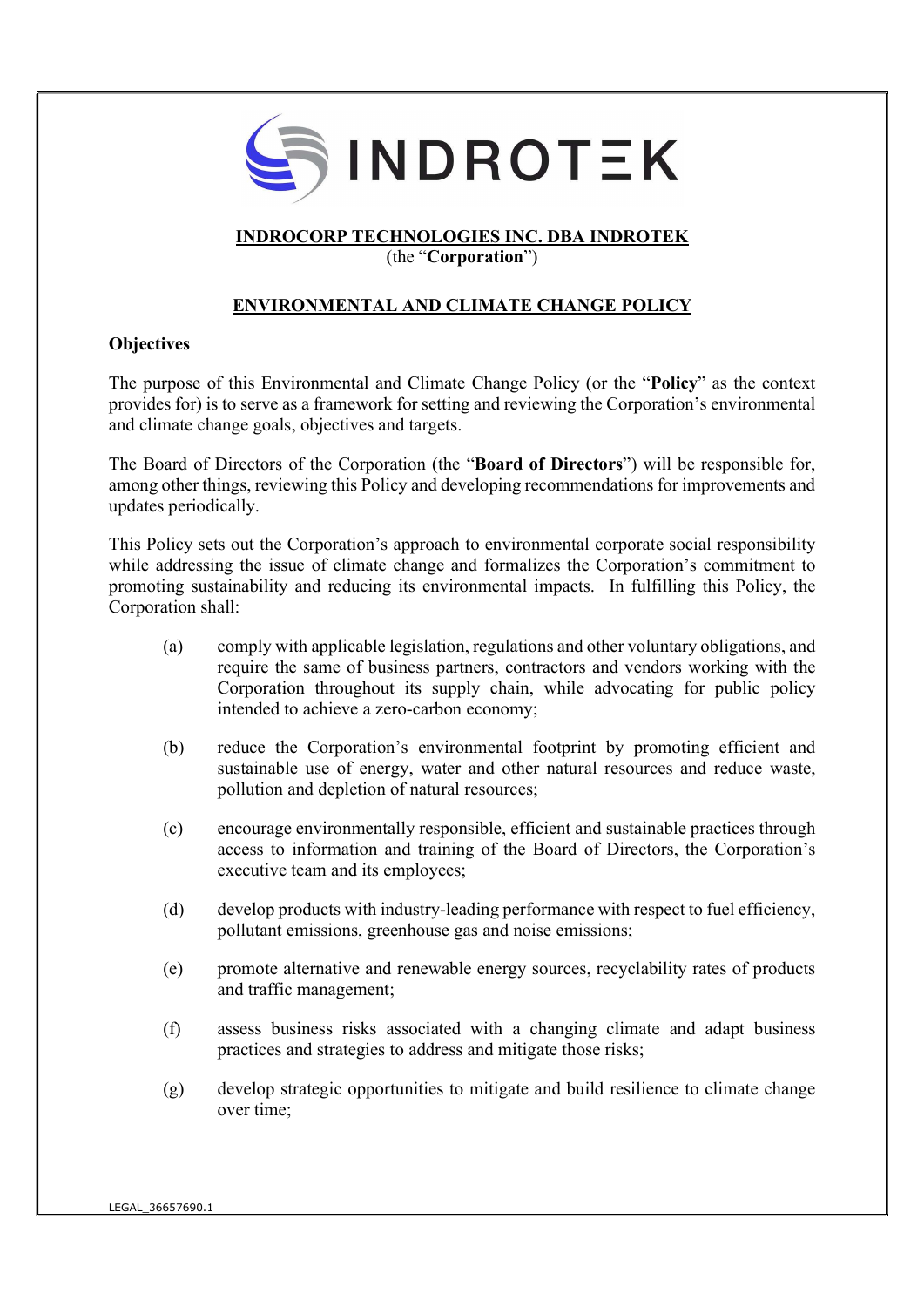

# INDROCORP TECHNOLOGIES INC. DBA INDROTEK

(the "Corporation")

# ENVIRONMENTAL AND CLIMATE CHANGE POLICY

# **Objectives**

The purpose of this Environmental and Climate Change Policy (or the "Policy" as the context provides for) is to serve as a framework for setting and reviewing the Corporation's environmental and climate change goals, objectives and targets.

The Board of Directors of the Corporation (the "Board of Directors") will be responsible for, among other things, reviewing this Policy and developing recommendations for improvements and updates periodically.

This Policy sets out the Corporation's approach to environmental corporate social responsibility while addressing the issue of climate change and formalizes the Corporation's commitment to promoting sustainability and reducing its environmental impacts. In fulfilling this Policy, the Corporation shall:

- (a) comply with applicable legislation, regulations and other voluntary obligations, and require the same of business partners, contractors and vendors working with the Corporation throughout its supply chain, while advocating for public policy intended to achieve a zero-carbon economy;
- (b) reduce the Corporation's environmental footprint by promoting efficient and sustainable use of energy, water and other natural resources and reduce waste, pollution and depletion of natural resources;
- (c) encourage environmentally responsible, efficient and sustainable practices through access to information and training of the Board of Directors, the Corporation's executive team and its employees;
- (d) develop products with industry-leading performance with respect to fuel efficiency, pollutant emissions, greenhouse gas and noise emissions;
- (e) promote alternative and renewable energy sources, recyclability rates of products and traffic management;
- (f) assess business risks associated with a changing climate and adapt business practices and strategies to address and mitigate those risks;
- (g) develop strategic opportunities to mitigate and build resilience to climate change over time;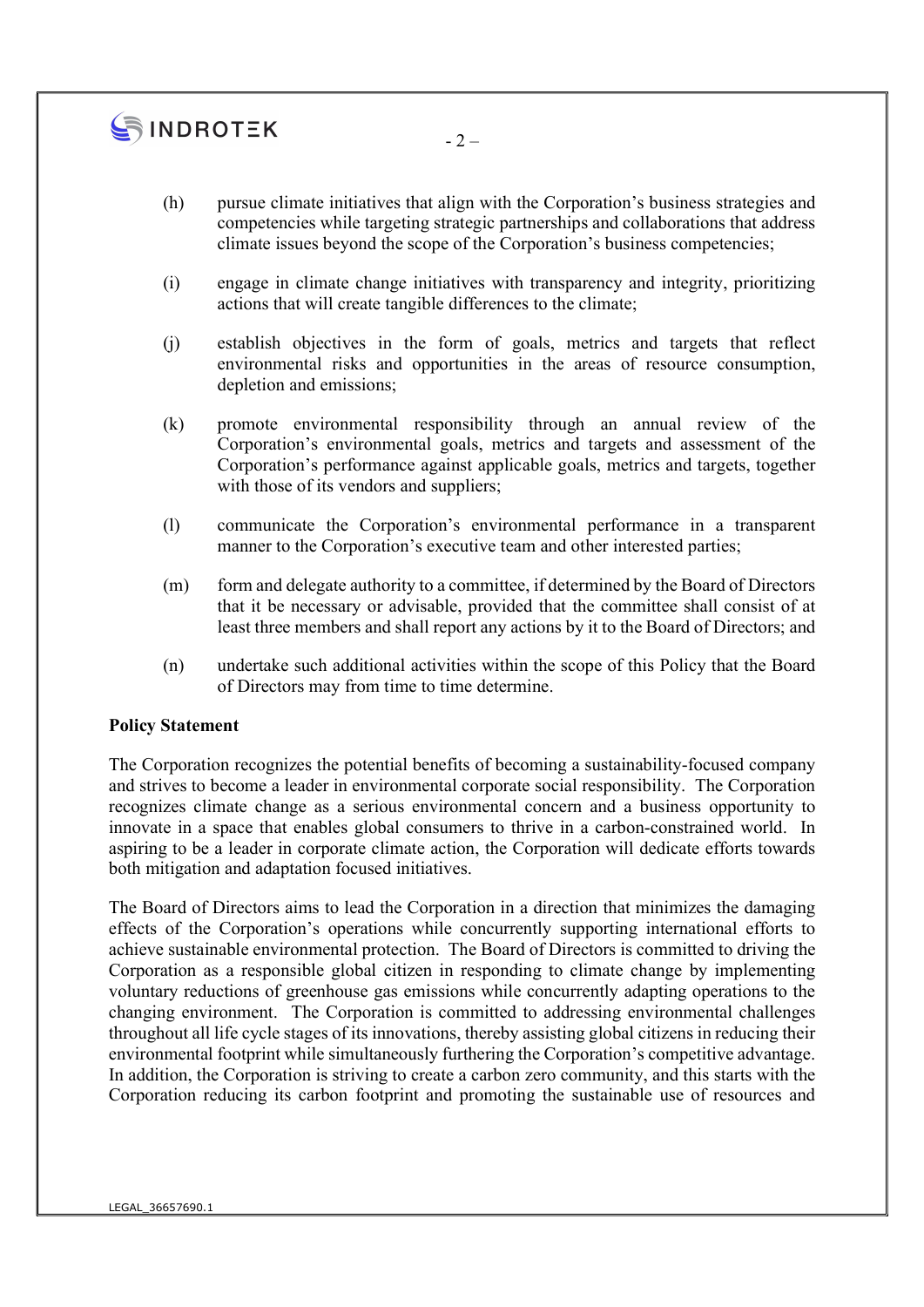

 $-2-$ 

- (i) engage in climate change initiatives with transparency and integrity, prioritizing actions that will create tangible differences to the climate;
- (j) establish objectives in the form of goals, metrics and targets that reflect environmental risks and opportunities in the areas of resource consumption, depletion and emissions;
- (k) promote environmental responsibility through an annual review of the Corporation's environmental goals, metrics and targets and assessment of the Corporation's performance against applicable goals, metrics and targets, together with those of its vendors and suppliers;
- (l) communicate the Corporation's environmental performance in a transparent manner to the Corporation's executive team and other interested parties;
- (m) form and delegate authority to a committee, if determined by the Board of Directors that it be necessary or advisable, provided that the committee shall consist of at least three members and shall report any actions by it to the Board of Directors; and
- (n) undertake such additional activities within the scope of this Policy that the Board of Directors may from time to time determine.

#### Policy Statement

The Corporation recognizes the potential benefits of becoming a sustainability-focused company and strives to become a leader in environmental corporate social responsibility. The Corporation recognizes climate change as a serious environmental concern and a business opportunity to innovate in a space that enables global consumers to thrive in a carbon-constrained world. In aspiring to be a leader in corporate climate action, the Corporation will dedicate efforts towards both mitigation and adaptation focused initiatives.

The Board of Directors aims to lead the Corporation in a direction that minimizes the damaging effects of the Corporation's operations while concurrently supporting international efforts to achieve sustainable environmental protection. The Board of Directors is committed to driving the Corporation as a responsible global citizen in responding to climate change by implementing voluntary reductions of greenhouse gas emissions while concurrently adapting operations to the changing environment. The Corporation is committed to addressing environmental challenges throughout all life cycle stages of its innovations, thereby assisting global citizens in reducing their environmental footprint while simultaneously furthering the Corporation's competitive advantage. In addition, the Corporation is striving to create a carbon zero community, and this starts with the Corporation reducing its carbon footprint and promoting the sustainable use of resources and